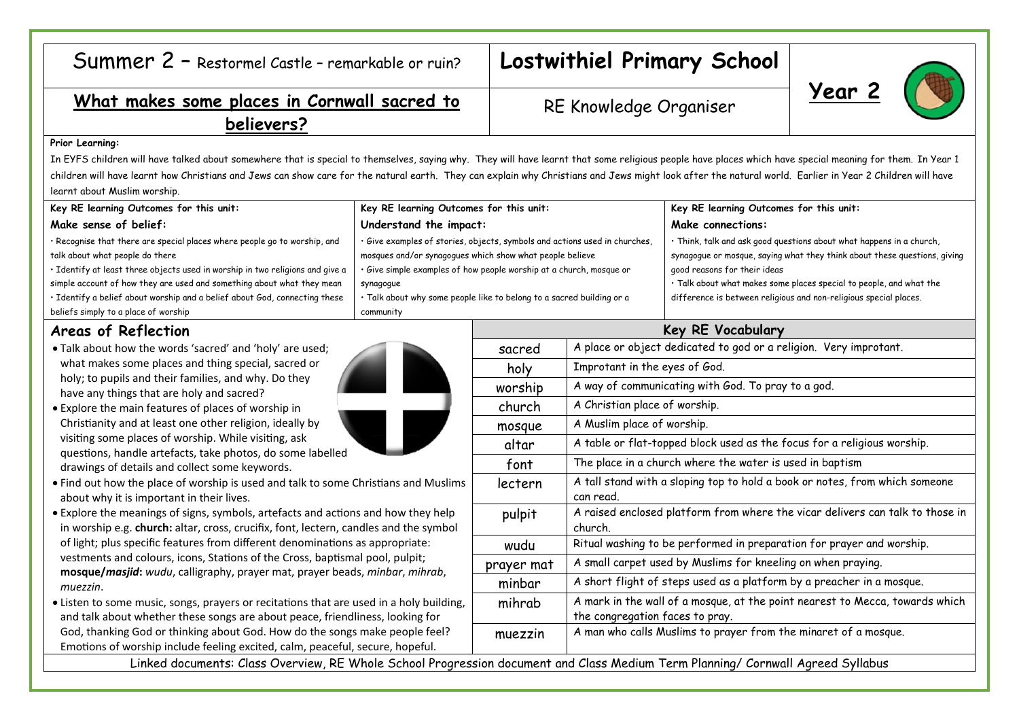| Summer 2 - Restormel Castle - remarkable or ruin? $ L$ |  |
|--------------------------------------------------------|--|
|--------------------------------------------------------|--|

# ostwithiel Primary School

## What makes some places in Cornwall sacred to DE Vnowledge Organiser 2 **believers?**

## RE Knowledge Organiser

#### **Prior Learning:**

In EYFS children will have talked about somewhere that is special to themselves, saying why. They will have learnt that some religious people have places which have special meaning for them. In Year 1 children will have learnt how Christians and Jews can show care for the natural earth. They can explain why Christians and Jews might look after the natural world. Earlier in Year 2 Children will have learnt about Muslim worship.

| Key RE learning Outcomes for this unit:                                       | Key RE learning Outcomes for this unit:                                    | Key RE learning Outcomes for this unit:                                   |
|-------------------------------------------------------------------------------|----------------------------------------------------------------------------|---------------------------------------------------------------------------|
| Make sense of belief:                                                         | Understand the impact:                                                     | Make connections:                                                         |
| · Recognise that there are special places where people go to worship, and     | · Give examples of stories, objects, symbols and actions used in churches, | · Think, talk and ask good questions about what happens in a church,      |
| talk about what people do there                                               | mosques and/or synagogues which show what people believe                   | synagogue or mosque, saying what they think about these questions, giving |
| · Identify at least three objects used in worship in two religions and give a | . Give simple examples of how people worship at a church, mosque or        | good reasons for their ideas                                              |
| simple account of how they are used and something about what they mean        | synagogue                                                                  | · Talk about what makes some places special to people, and what the       |
| · Identify a belief about worship and a belief about God, connecting these    | · Talk about why some people like to belong to a sacred building or a      | difference is between religious and non-religious special places.         |
| beliefs simply to a place of worship                                          | community                                                                  |                                                                           |

### **Areas of Reflection**

- Talk about how the words 'sacred' and 'holy' are used; what makes some places and thing special, sacred or holy; to pupils and their families, and why. Do they have any things that are holy and sacred?
- Explore the main features of places of worship in Christianity and at least one other religion, ideally by visiting some places of worship. While visiting, ask questions, handle artefacts, take photos, do some labelled drawings of details and collect some keywords.
- Find out how the place of worship is used and talk to some Christians and Muslin about why it is important in their lives.
- Explore the meanings of signs, symbols, artefacts and actions and how they help in worship e.g. **church:** altar, cross, crucifix, font, lectern, candles and the symbol of light; plus specific features from different denominations as appropriate: vestments and colours, icons, Stations of the Cross, baptismal pool, pulpit; **mosque/***masjid***:** *wudu*, calligraphy, prayer mat, prayer beads, *minbar*, *mihrab*, *muezzin*.
- Listen to some music, songs, prayers or recitations that are used in a holy building and talk about whether these songs are about peace, friendliness, looking for God, thanking God or thinking about God. How do the songs make people feel? Emotions of worship include feeling excited, calm, peaceful, secure, hopeful.

| eflection                                                                                                                                                                                                                                                                                                                                                                                                                                                                                                                                                                                       | Key RE Vocabulary |                                                                                                                 |  |
|-------------------------------------------------------------------------------------------------------------------------------------------------------------------------------------------------------------------------------------------------------------------------------------------------------------------------------------------------------------------------------------------------------------------------------------------------------------------------------------------------------------------------------------------------------------------------------------------------|-------------------|-----------------------------------------------------------------------------------------------------------------|--|
| w the words 'sacred' and 'holy' are used;                                                                                                                                                                                                                                                                                                                                                                                                                                                                                                                                                       | sacred            | A place or object dedicated to god or a religion. Very improtant.                                               |  |
| ome places and thing special, sacred or<br>s and their families, and why. Do they<br>gs that are holy and sacred?<br>ain features of places of worship in<br>nd at least one other religion, ideally by<br>places of worship. While visiting, ask<br>ndle artefacts, take photos, do some labelled<br>etails and collect some keywords.<br>the place of worship is used and talk to some Christians and Muslims<br>s important in their lives.<br>eanings of signs, symbols, artefacts and actions and how they help<br>. church: altar, cross, crucifix, font, lectern, candles and the symbol | holy              | Improtant in the eyes of God.                                                                                   |  |
|                                                                                                                                                                                                                                                                                                                                                                                                                                                                                                                                                                                                 | worship           | A way of communicating with God. To pray to a god.                                                              |  |
|                                                                                                                                                                                                                                                                                                                                                                                                                                                                                                                                                                                                 | church            | A Christian place of worship.                                                                                   |  |
|                                                                                                                                                                                                                                                                                                                                                                                                                                                                                                                                                                                                 | mosque            | A Muslim place of worship.                                                                                      |  |
|                                                                                                                                                                                                                                                                                                                                                                                                                                                                                                                                                                                                 | altar             | A table or flat-topped block used as the focus for a religious worship.                                         |  |
|                                                                                                                                                                                                                                                                                                                                                                                                                                                                                                                                                                                                 | font              | The place in a church where the water is used in baptism                                                        |  |
|                                                                                                                                                                                                                                                                                                                                                                                                                                                                                                                                                                                                 | lectern           | A tall stand with a sloping top to hold a book or notes, from which someone<br>can read.                        |  |
|                                                                                                                                                                                                                                                                                                                                                                                                                                                                                                                                                                                                 | pulpit            | A raised enclosed platform from where the vicar delivers can talk to those in<br>church.                        |  |
| pecific features from different denominations as appropriate:                                                                                                                                                                                                                                                                                                                                                                                                                                                                                                                                   | wudu              | Ritual washing to be performed in preparation for prayer and worship.                                           |  |
| d colours, icons, Stations of the Cross, baptismal pool, pulpit;<br>jid: wudu, calligraphy, prayer mat, prayer beads, minbar, mihrab,<br>e music, songs, prayers or recitations that are used in a holy building,<br>t whether these songs are about peace, friendliness, looking for                                                                                                                                                                                                                                                                                                           | prayer mat        | A small carpet used by Muslims for kneeling on when praying.                                                    |  |
|                                                                                                                                                                                                                                                                                                                                                                                                                                                                                                                                                                                                 | minbar            | A short flight of steps used as a platform by a preacher in a mosque.                                           |  |
|                                                                                                                                                                                                                                                                                                                                                                                                                                                                                                                                                                                                 | mihrab            | A mark in the wall of a mosque, at the point nearest to Mecca, towards which<br>the congregation faces to pray. |  |
| God or thinking about God. How do the songs make people feel?<br>vorship include feeling excited, calm, peaceful, secure, hopeful.                                                                                                                                                                                                                                                                                                                                                                                                                                                              | muezzin           | A man who calls Muslims to prayer from the minaret of a mosque.                                                 |  |
| Linked documents: Class Overview, RE Whole School Progression document and Class Medium Term Planning/ Cornwall Agreed Syllabus                                                                                                                                                                                                                                                                                                                                                                                                                                                                 |                   |                                                                                                                 |  |